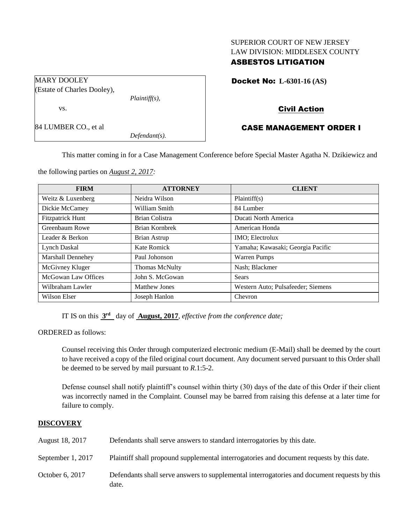## SUPERIOR COURT OF NEW JERSEY LAW DIVISION: MIDDLESEX COUNTY

## ASBESTOS LITIGATION

Docket No: **L-6301-16 (AS)** 

MARY DOOLEY (Estate of Charles Dooley),

*Plaintiff(s),*

vs.

84 LUMBER CO., et al

*Defendant(s).*

# Civil Action

# CASE MANAGEMENT ORDER I

This matter coming in for a Case Management Conference before Special Master Agatha N. Dzikiewicz and

the following parties on *August 2, 2017:*

| <b>FIRM</b>              | <b>ATTORNEY</b>       | <b>CLIENT</b>                      |
|--------------------------|-----------------------|------------------------------------|
| Weitz & Luxenberg        | Neidra Wilson         | Plaintiff(s)                       |
| Dickie McCamey           | William Smith         | 84 Lumber                          |
| <b>Fitzpatrick Hunt</b>  | Brian Colistra        | Ducati North America               |
| Greenbaum Rowe           | Brian Kornbrek        | American Honda                     |
| Leader & Berkon          | Brian Astrup          | IMO; Electrolux                    |
| Lynch Daskal             | Kate Romick           | Yamaha; Kawasaki; Georgia Pacific  |
| <b>Marshall Dennehey</b> | Paul Johonson         | <b>Warren Pumps</b>                |
| McGivney Kluger          | <b>Thomas McNulty</b> | Nash; Blackmer                     |
| McGowan Law Offices      | John S. McGowan       | Sears                              |
| Wilbraham Lawler         | <b>Matthew Jones</b>  | Western Auto; Pulsafeeder; Siemens |
| Wilson Elser             | Joseph Hanlon         | Chevron                            |

IT IS on this  $3<sup>rd</sup>$  day of **August, 2017**, *effective from the conference date*;

ORDERED as follows:

Counsel receiving this Order through computerized electronic medium (E-Mail) shall be deemed by the court to have received a copy of the filed original court document. Any document served pursuant to this Order shall be deemed to be served by mail pursuant to *R*.1:5-2.

Defense counsel shall notify plaintiff's counsel within thirty (30) days of the date of this Order if their client was incorrectly named in the Complaint. Counsel may be barred from raising this defense at a later time for failure to comply.

## **DISCOVERY**

| August 18, 2017   | Defendants shall serve answers to standard interrogatories by this date.                              |
|-------------------|-------------------------------------------------------------------------------------------------------|
| September 1, 2017 | Plaintiff shall propound supplemental interrogatories and document requests by this date.             |
| October 6, 2017   | Defendants shall serve answers to supplemental interrogatories and document requests by this<br>date. |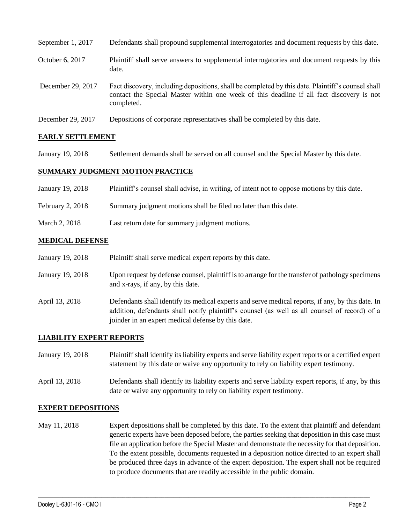| September 1, 2017 | Defendants shall propound supplemental interrogatories and document requests by this date.                                                                                                                  |
|-------------------|-------------------------------------------------------------------------------------------------------------------------------------------------------------------------------------------------------------|
| October 6, 2017   | Plaintiff shall serve answers to supplemental interrogatories and document requests by this<br>date.                                                                                                        |
| December 29, 2017 | Fact discovery, including depositions, shall be completed by this date. Plaintiff's counsel shall<br>contact the Special Master within one week of this deadline if all fact discovery is not<br>completed. |
| December 29, 2017 | Depositions of corporate representatives shall be completed by this date.                                                                                                                                   |

## **EARLY SETTLEMENT**

January 19, 2018 Settlement demands shall be served on all counsel and the Special Master by this date.

## **SUMMARY JUDGMENT MOTION PRACTICE**

| January 19, 2018 | Plaintiff's counsel shall advise, in writing, of intent not to oppose motions by this date. |
|------------------|---------------------------------------------------------------------------------------------|
| February 2, 2018 | Summary judgment motions shall be filed no later than this date.                            |
| March 2, 2018    | Last return date for summary judgment motions.                                              |

#### **MEDICAL DEFENSE**

| January 19, 2018 | Plaintiff shall serve medical expert reports by this date. |
|------------------|------------------------------------------------------------|
|------------------|------------------------------------------------------------|

- January 19, 2018 Upon request by defense counsel, plaintiff is to arrange for the transfer of pathology specimens and x-rays, if any, by this date.
- April 13, 2018 Defendants shall identify its medical experts and serve medical reports, if any, by this date. In addition, defendants shall notify plaintiff's counsel (as well as all counsel of record) of a joinder in an expert medical defense by this date.

#### **LIABILITY EXPERT REPORTS**

- January 19, 2018 Plaintiff shall identify its liability experts and serve liability expert reports or a certified expert statement by this date or waive any opportunity to rely on liability expert testimony.
- April 13, 2018 Defendants shall identify its liability experts and serve liability expert reports, if any, by this date or waive any opportunity to rely on liability expert testimony.

#### **EXPERT DEPOSITIONS**

May 11, 2018 Expert depositions shall be completed by this date. To the extent that plaintiff and defendant generic experts have been deposed before, the parties seeking that deposition in this case must file an application before the Special Master and demonstrate the necessity for that deposition. To the extent possible, documents requested in a deposition notice directed to an expert shall be produced three days in advance of the expert deposition. The expert shall not be required to produce documents that are readily accessible in the public domain.

 $\_$  ,  $\_$  ,  $\_$  ,  $\_$  ,  $\_$  ,  $\_$  ,  $\_$  ,  $\_$  ,  $\_$  ,  $\_$  ,  $\_$  ,  $\_$  ,  $\_$  ,  $\_$  ,  $\_$  ,  $\_$  ,  $\_$  ,  $\_$  ,  $\_$  ,  $\_$  ,  $\_$  ,  $\_$  ,  $\_$  ,  $\_$  ,  $\_$  ,  $\_$  ,  $\_$  ,  $\_$  ,  $\_$  ,  $\_$  ,  $\_$  ,  $\_$  ,  $\_$  ,  $\_$  ,  $\_$  ,  $\_$  ,  $\_$  ,